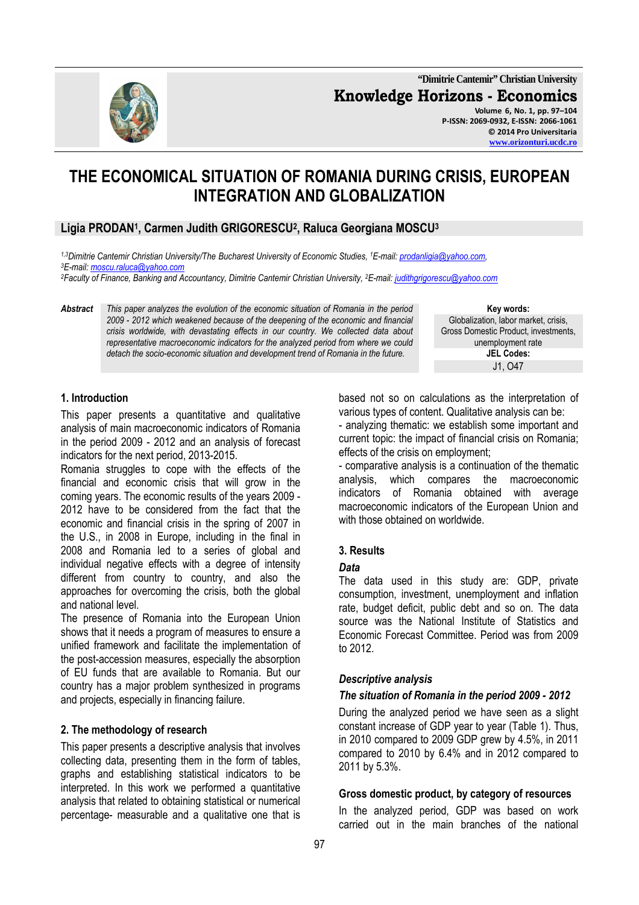**"Dimitrie Cantemir" Christian University Knowledge Horizons - Economics Volume 6, No. 1, pp. 97–104 P-ISSN: 2069-0932, E-ISSN: 2066-1061 © 2014 Pro Universitaria** 

# **THE ECONOMICAL SITUATION OF ROMANIA DURING CRISIS, EUROPEAN INTEGRATION AND GLOBALIZATION**

## **Ligia PRODAN<sup>1</sup> , Carmen Judith GRIGORESCU<sup>2</sup> , Raluca Georgiana MOSCU<sup>3</sup>**

*1,3Dimitrie Cantemir Christian University/The Bucharest University of Economic Studies, <sup>1</sup>E-mail: prodanligia@yahoo.com, <sup>3</sup>E-mail: moscu.raluca@yahoo.com*

*<sup>2</sup>Faculty of Finance, Banking and Accountancy, Dimitrie Cantemir Christian University, <sup>2</sup>E-mail: judithgrigorescu@yahoo.com*

*Abstract This paper analyzes the evolution of the economic situation of Romania in the period 2009 - 2012 which weakened because of the deepening of the economic and financial crisis worldwide, with devastating effects in our country. We collected data about representative macroeconomic indicators for the analyzed period from where we could detach the socio-economic situation and development trend of Romania in the future.* 

**Key words:** Globalization, labor market, crisis, Gross Domestic Product, investments, unemployment rate **JEL Codes:** J1, O47

#### **1. Introduction**

This paper presents a quantitative and qualitative analysis of main macroeconomic indicators of Romania in the period 2009 - 2012 and an analysis of forecast indicators for the next period, 2013-2015.

Romania struggles to cope with the effects of the financial and economic crisis that will grow in the coming years. The economic results of the years 2009 - 2012 have to be considered from the fact that the economic and financial crisis in the spring of 2007 in the U.S., in 2008 in Europe, including in the final in 2008 and Romania led to a series of global and individual negative effects with a degree of intensity different from country to country, and also the approaches for overcoming the crisis, both the global and national level.

The presence of Romania into the European Union shows that it needs a program of measures to ensure a unified framework and facilitate the implementation of the post-accession measures, especially the absorption of EU funds that are available to Romania. But our country has a major problem synthesized in programs and projects, especially in financing failure.

#### **2. The methodology of research**

This paper presents a descriptive analysis that involves collecting data, presenting them in the form of tables, graphs and establishing statistical indicators to be interpreted. In this work we performed a quantitative analysis that related to obtaining statistical or numerical percentage- measurable and a qualitative one that is

based not so on calculations as the interpretation of various types of content. Qualitative analysis can be:

- analyzing thematic: we establish some important and current topic: the impact of financial crisis on Romania; effects of the crisis on employment;

- comparative analysis is a continuation of the thematic analysis, which compares the macroeconomic indicators of Romania obtained with average macroeconomic indicators of the European Union and with those obtained on worldwide.

#### **3. Results**

#### *Data*

The data used in this study are: GDP, private consumption, investment, unemployment and inflation rate, budget deficit, public debt and so on. The data source was the National Institute of Statistics and Economic Forecast Committee. Period was from 2009 to 2012.

#### *Descriptive analysis*

#### *The situation of Romania in the period 2009 - 2012*

During the analyzed period we have seen as a slight constant increase of GDP year to year (Table 1). Thus, in 2010 compared to 2009 GDP grew by 4.5%, in 2011 compared to 2010 by 6.4% and in 2012 compared to 2011 by 5.3%.

#### **Gross domestic product, by category of resources**

In the analyzed period, GDP was based on work carried out in the main branches of the national

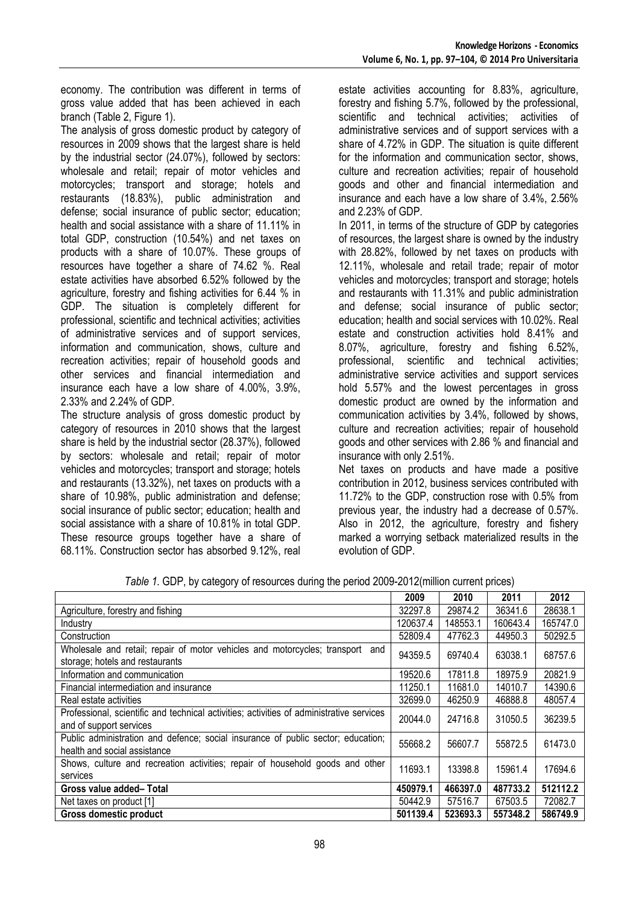economy. The contribution was different in terms of gross value added that has been achieved in each branch (Table 2, Figure 1).

The analysis of gross domestic product by category of resources in 2009 shows that the largest share is held by the industrial sector (24.07%), followed by sectors: wholesale and retail; repair of motor vehicles and motorcycles; transport and storage; hotels and restaurants (18.83%), public administration and defense; social insurance of public sector; education; health and social assistance with a share of 11.11% in total GDP, construction (10.54%) and net taxes on products with a share of 10.07%. These groups of resources have together a share of 74.62 %. Real estate activities have absorbed 6.52% followed by the agriculture, forestry and fishing activities for 6.44 % in GDP. The situation is completely different for professional, scientific and technical activities; activities of administrative services and of support services, information and communication, shows, culture and recreation activities; repair of household goods and other services and financial intermediation and insurance each have a low share of 4.00%, 3.9%, 2.33% and 2.24% of GDP.

The structure analysis of gross domestic product by category of resources in 2010 shows that the largest share is held by the industrial sector (28.37%), followed by sectors: wholesale and retail; repair of motor vehicles and motorcycles; transport and storage; hotels and restaurants (13.32%), net taxes on products with a share of 10.98%, public administration and defense; social insurance of public sector; education; health and social assistance with a share of 10.81% in total GDP. These resource groups together have a share of 68.11%. Construction sector has absorbed 9.12%, real

estate activities accounting for 8.83%, agriculture, forestry and fishing 5.7%, followed by the professional, scientific and technical activities; activities of administrative services and of support services with a share of 4.72% in GDP. The situation is quite different for the information and communication sector, shows, culture and recreation activities; repair of household goods and other and financial intermediation and insurance and each have a low share of 3.4%, 2.56% and 2.23% of GDP.

In 2011, in terms of the structure of GDP by categories of resources, the largest share is owned by the industry with 28.82%, followed by net taxes on products with 12.11%, wholesale and retail trade; repair of motor vehicles and motorcycles; transport and storage; hotels and restaurants with 11.31% and public administration and defense; social insurance of public sector; education; health and social services with 10.02%. Real estate and construction activities hold 8.41% and 8.07%, agriculture, forestry and fishing 6.52%, professional, scientific and technical activities; administrative service activities and support services hold 5.57% and the lowest percentages in gross domestic product are owned by the information and communication activities by 3.4%, followed by shows, culture and recreation activities; repair of household goods and other services with 2.86 % and financial and insurance with only 2.51%.

Net taxes on products and have made a positive contribution in 2012, business services contributed with 11.72% to the GDP, construction rose with 0.5% from previous year, the industry had a decrease of 0.57%. Also in 2012, the agriculture, forestry and fishery marked a worrying setback materialized results in the evolution of GDP.

|                                                                                          | 2009     | 2010     | 2011     | 2012     |
|------------------------------------------------------------------------------------------|----------|----------|----------|----------|
| Agriculture, forestry and fishing                                                        | 32297.8  | 29874.2  | 36341.6  | 28638.1  |
| Industry                                                                                 | 120637.4 | 148553.1 | 160643.4 | 165747.0 |
| Construction                                                                             | 52809.4  | 47762.3  | 44950.3  | 50292.5  |
| Wholesale and retail; repair of motor vehicles and motorcycles; transport and            | 94359.5  | 69740.4  | 63038.1  | 68757.6  |
| storage; hotels and restaurants                                                          |          |          |          |          |
| Information and communication                                                            | 19520.6  | 17811.8  | 18975.9  | 20821.9  |
| Financial intermediation and insurance                                                   | 11250.1  | 11681.0  | 14010.7  | 14390.6  |
| Real estate activities                                                                   | 32699.0  | 46250.9  | 46888.8  | 48057.4  |
| Professional, scientific and technical activities; activities of administrative services | 20044.0  | 24716.8  | 31050.5  | 36239.5  |
| and of support services                                                                  |          |          |          |          |
| Public administration and defence; social insurance of public sector; education;         | 55668.2  | 56607.7  | 55872.5  | 61473.0  |
| health and social assistance                                                             |          |          |          |          |
| Shows, culture and recreation activities; repair of household goods and other            | 11693.1  | 13398.8  | 15961.4  | 17694.6  |
| services                                                                                 |          |          |          |          |
| Gross value added-Total                                                                  | 450979.1 | 466397.0 | 487733.2 | 512112.2 |
| Net taxes on product [1]                                                                 | 50442.9  | 57516.7  | 67503.5  | 72082.7  |
| <b>Gross domestic product</b>                                                            | 501139.4 | 523693.3 | 557348.2 | 586749.9 |

*Table 1.* GDP, by category of resources during the period 2009-2012(million current prices)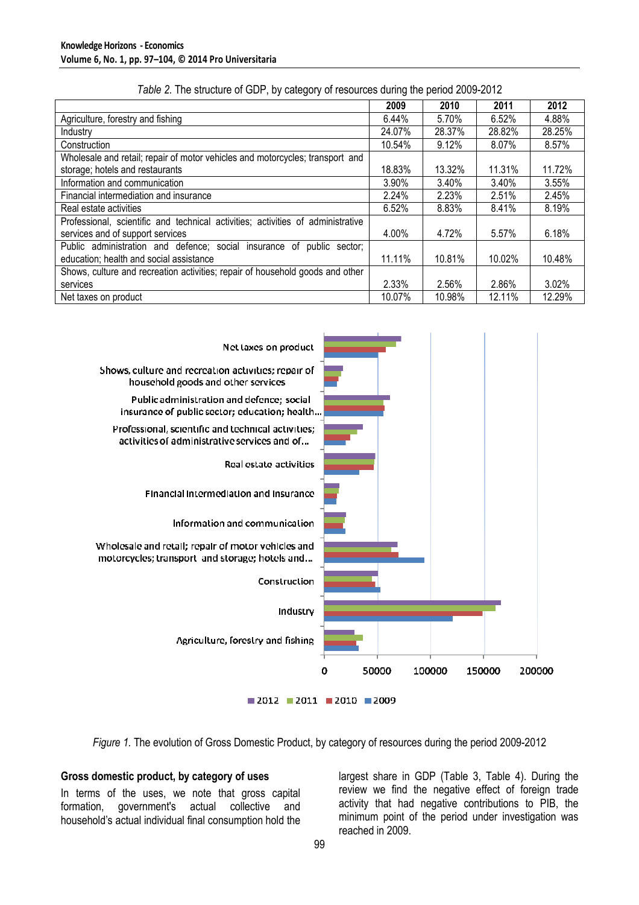|                                                                                 | 2009   | 2010   | 2011   | 2012   |
|---------------------------------------------------------------------------------|--------|--------|--------|--------|
| Agriculture, forestry and fishing                                               | 6.44%  | 5.70%  | 6.52%  | 4.88%  |
| Industry                                                                        | 24.07% | 28.37% | 28.82% | 28.25% |
| Construction                                                                    | 10.54% | 9.12%  | 8.07%  | 8.57%  |
| Wholesale and retail; repair of motor vehicles and motorcycles; transport and   |        |        |        |        |
| storage; hotels and restaurants                                                 | 18.83% | 13.32% | 11.31% | 11.72% |
| Information and communication                                                   | 3.90%  | 3.40%  | 3.40%  | 3.55%  |
| Financial intermediation and insurance                                          | 2.24%  | 2.23%  | 2.51%  | 2.45%  |
| Real estate activities                                                          | 6.52%  | 8.83%  | 8.41%  | 8.19%  |
| Professional, scientific and technical activities; activities of administrative |        |        |        |        |
| services and of support services                                                | 4.00%  | 4.72%  | 5.57%  | 6.18%  |
| Public administration and defence; social insurance of public sector;           |        |        |        |        |
| education; health and social assistance                                         | 11.11% | 10.81% | 10.02% | 10.48% |
| Shows, culture and recreation activities; repair of household goods and other   |        |        |        |        |
| services                                                                        | 2.33%  | 2.56%  | 2.86%  | 3.02%  |
| Net taxes on product                                                            | 10.07% | 10.98% | 12.11% | 12.29% |

*Table 2.* The structure of GDP, by category of resources during the period 2009-2012



*Figure 1.* The evolution of Gross Domestic Product, by category of resources during the period 2009-2012

#### **Gross domestic product, by category of uses**

In terms of the uses, we note that gross capital formation, government's actual collective and household's actual individual final consumption hold the

largest share in GDP (Table 3, Table 4). During the review we find the negative effect of foreign trade activity that had negative contributions to PIB, the minimum point of the period under investigation was reached in 2009.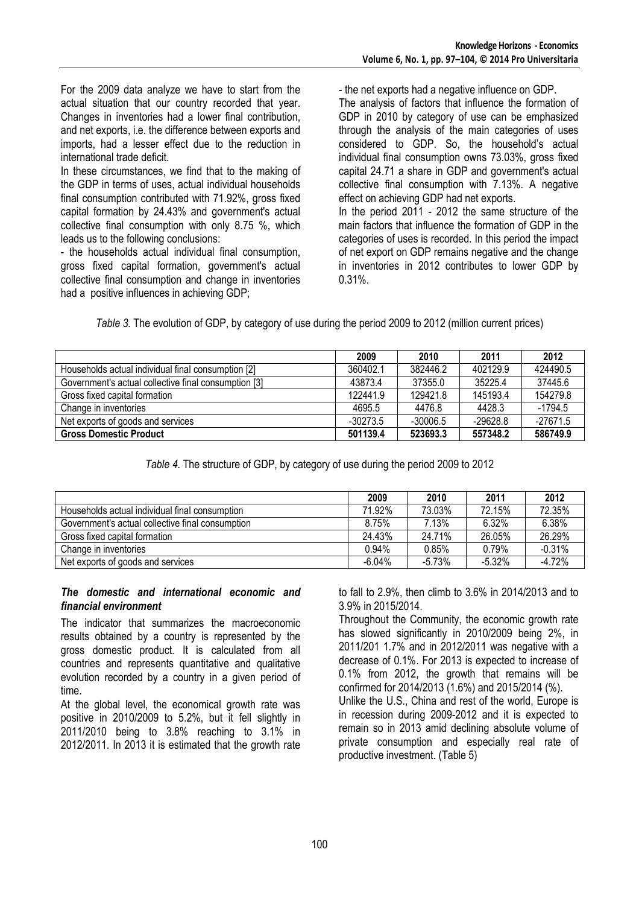For the 2009 data analyze we have to start from the actual situation that our country recorded that year. Changes in inventories had a lower final contribution, and net exports, i.e. the difference between exports and imports, had a lesser effect due to the reduction in international trade deficit.

In these circumstances, we find that to the making of the GDP in terms of uses, actual individual households final consumption contributed with 71.92%, gross fixed capital formation by 24.43% and government's actual collective final consumption with only 8.75 %, which leads us to the following conclusions:

- the households actual individual final consumption, gross fixed capital formation, government's actual collective final consumption and change in inventories had a positive influences in achieving GDP;

- the net exports had a negative influence on GDP.

The analysis of factors that influence the formation of GDP in 2010 by category of use can be emphasized through the analysis of the main categories of uses considered to GDP. So, the household's actual individual final consumption owns 73.03%, gross fixed capital 24.71 a share in GDP and government's actual collective final consumption with 7.13%. A negative effect on achieving GDP had net exports. In the period 2011 - 2012 the same structure of the main factors that influence the formation of GDP in the categories of uses is recorded. In this period the impact of net export on GDP remains negative and the change in inventories in 2012 contributes to lower GDP by 0.31%.

*Table 3.* The evolution of GDP, by category of use during the period 2009 to 2012 (million current prices)

|                                                      | 2009       | 2010       | 2011       | 2012       |
|------------------------------------------------------|------------|------------|------------|------------|
| Households actual individual final consumption [2]   | 360402.1   | 382446.2   | 402129.9   | 424490.5   |
| Government's actual collective final consumption [3] | 43873.4    | 37355.0    | 35225.4    | 37445.6    |
| Gross fixed capital formation                        | 122441.9   | 129421.8   | 145193.4   | 154279.8   |
| Change in inventories                                | 4695.5     | 4476.8     | 4428.3     | $-1794.5$  |
| Net exports of goods and services                    | $-30273.5$ | $-30006.5$ | $-29628.8$ | $-27671.5$ |
| <b>Gross Domestic Product</b>                        | 501139.4   | 523693.3   | 557348.2   | 586749.9   |

*Table 4.* The structure of GDP, by category of use during the period 2009 to 2012

|                                                  | 2009     | 2010     | 2011     | 2012     |
|--------------------------------------------------|----------|----------|----------|----------|
| Households actual individual final consumption   | 71.92%   | 73.03%   | 72.15%   | 72.35%   |
| Government's actual collective final consumption | 8.75%    | 7.13%    | 6.32%    | 6.38%    |
| Gross fixed capital formation                    | 24.43%   | 24.71%   | 26.05%   | 26.29%   |
| Change in inventories                            | 0.94%    | 0.85%    | 0.79%    | $-0.31%$ |
| Net exports of goods and services                | $-6.04%$ | $-5.73%$ | $-5.32%$ | $-4.72%$ |

#### *The domestic and international economic and financial environment*

The indicator that summarizes the macroeconomic results obtained by a country is represented by the gross domestic product. It is calculated from all countries and represents quantitative and qualitative evolution recorded by a country in a given period of time.

At the global level, the economical growth rate was positive in 2010/2009 to 5.2%, but it fell slightly in 2011/2010 being to 3.8% reaching to 3.1% in 2012/2011. In 2013 it is estimated that the growth rate to fall to 2.9%, then climb to 3.6% in 2014/2013 and to 3.9% in 2015/2014.

Throughout the Community, the economic growth rate has slowed significantly in 2010/2009 being 2%, in 2011/201 1.7% and in 2012/2011 was negative with a decrease of 0.1%. For 2013 is expected to increase of 0.1% from 2012, the growth that remains will be confirmed for 2014/2013 (1.6%) and 2015/2014 (%).

Unlike the U.S., China and rest of the world, Europe is in recession during 2009-2012 and it is expected to remain so in 2013 amid declining absolute volume of private consumption and especially real rate of productive investment. (Table 5)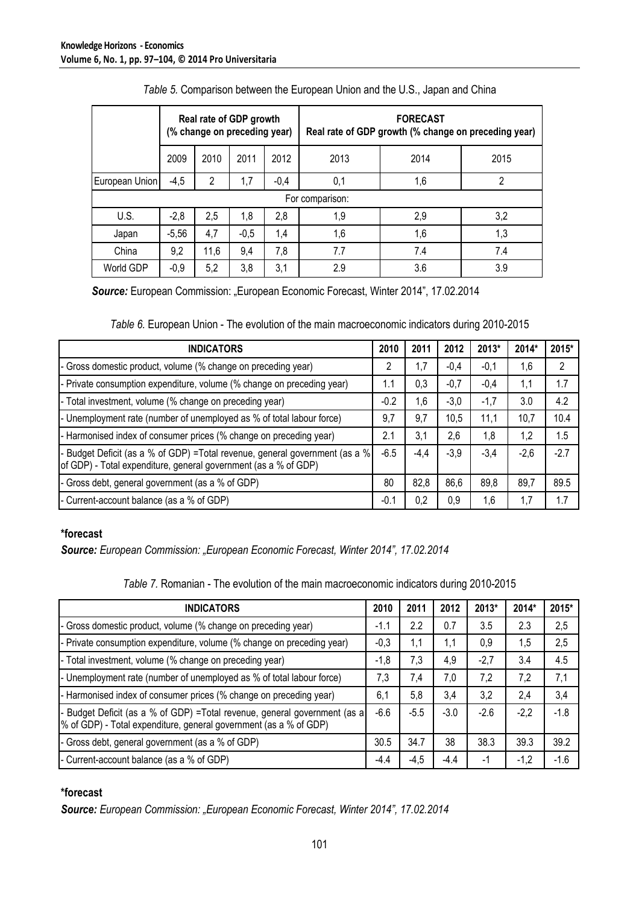|                |         | Real rate of GDP growth<br>(% change on preceding year) |        |        | <b>FORECAST</b><br>Real rate of GDP growth (% change on preceding year) |      |     |  |  |
|----------------|---------|---------------------------------------------------------|--------|--------|-------------------------------------------------------------------------|------|-----|--|--|
|                | 2009    | 2010                                                    | 2011   | 2012   | 2013                                                                    | 2015 |     |  |  |
| European Union | $-4,5$  | 2                                                       | 1,7    | $-0,4$ | 0,1                                                                     | 1,6  | 2   |  |  |
|                |         |                                                         |        |        | For comparison:                                                         |      |     |  |  |
| U.S.           | $-2,8$  | 2,5                                                     | 1,8    | 2,8    | 1,9                                                                     | 2,9  | 3,2 |  |  |
| Japan          | $-5,56$ | 4,7                                                     | $-0,5$ | 1,4    | 1,6                                                                     | 1,6  | 1,3 |  |  |
| China          | 9,2     | 11,6                                                    | 9,4    | 7,8    | 7.7                                                                     | 7.4  | 7.4 |  |  |
| World GDP      | $-0,9$  | 5,2                                                     | 3,8    | 3,1    | 3.9<br>2.9<br>3.6                                                       |      |     |  |  |

 *Source:* European Commission: "European Economic Forecast, Winter 2014", 17.02.2014

*Table 6.* European Union - The evolution of the main macroeconomic indicators during 2010-2015

| <b>INDICATORS</b>                                                                                                                              | 2010   | 2011   | 2012   | 2013*  | 2014*  | 2015*  |
|------------------------------------------------------------------------------------------------------------------------------------------------|--------|--------|--------|--------|--------|--------|
| - Gross domestic product, volume (% change on preceding year)                                                                                  | 2      | 1,7    | $-0,4$ | $-0,1$ | 1,6    | 2      |
| - Private consumption expenditure, volume (% change on preceding year)                                                                         | 1.1    | 0,3    | $-0,7$ | $-0,4$ | 1,1    | 1.7    |
| - Total investment, volume (% change on preceding year)                                                                                        | $-0.2$ | 1,6    | $-3,0$ | $-1,7$ | 3.0    | 4.2    |
| - Unemployment rate (number of unemployed as % of total labour force)                                                                          | 9,7    | 9,7    | 10,5   | 11,1   | 10,7   | 10.4   |
| - Harmonised index of consumer prices (% change on preceding year)                                                                             | 2.1    | 3,1    | 2,6    | 1,8    | 1,2    | 1.5    |
| - Budget Deficit (as a % of GDP) =Total revenue, general government (as a %<br>of GDP) - Total expenditure, general government (as a % of GDP) | $-6.5$ | $-4,4$ | $-3,9$ | $-3,4$ | $-2,6$ | $-2.7$ |
| - Gross debt, general government (as a % of GDP)                                                                                               | 80     | 82,8   | 86,6   | 89,8   | 89,7   | 89.5   |
| - Current-account balance (as a % of GDP)                                                                                                      | $-0.1$ | 0,2    | 0.9    | 1,6    | 1,7    | 1.7    |

## **\*forecast**

*Source: European Commission: "European Economic Forecast, Winter 2014", 17.02.2014* 

|  |  | Table 7. Romanian - The evolution of the main macroeconomic indicators during 2010-2015 |  |  |
|--|--|-----------------------------------------------------------------------------------------|--|--|
|  |  |                                                                                         |  |  |

| <b>INDICATORS</b>                                                                                                                               | 2010   | 2011   | 2012   | 2013*  | 2014*  | 2015*  |
|-------------------------------------------------------------------------------------------------------------------------------------------------|--------|--------|--------|--------|--------|--------|
| - Gross domestic product, volume (% change on preceding year)                                                                                   | $-1.1$ | 2.2    | 0.7    | 3.5    | 2.3    | 2,5    |
| - Private consumption expenditure, volume (% change on preceding year)                                                                          | $-0,3$ | 1,1    | 1,1    | 0,9    | 1,5    | 2,5    |
| - Total investment, volume (% change on preceding year)                                                                                         | $-1,8$ | 7,3    | 4,9    | $-2,7$ | 3.4    | 4.5    |
| - Unemployment rate (number of unemployed as % of total labour force)                                                                           | 7,3    | 7,4    | 7,0    | 7,2    | 7,2    | 7,1    |
| - Harmonised index of consumer prices (% change on preceding year)                                                                              | 6,1    | 5,8    | 3,4    | 3,2    | 2,4    | 3,4    |
| - Budget Deficit (as a % of GDP) = Total revenue, general government (as a<br>% of GDP) - Total expenditure, general government (as a % of GDP) | $-6.6$ | $-5.5$ | $-3.0$ | $-2.6$ | $-2,2$ | $-1.8$ |
| - Gross debt, general government (as a % of GDP)                                                                                                | 30.5   | 34.7   | 38     | 38.3   | 39.3   | 39.2   |
| - Current-account balance (as a % of GDP)                                                                                                       | -4.4   | $-4,5$ | -4.4   | -1     | $-1,2$ | $-1.6$ |

## **\*forecast**

*Source: European Commission: "European Economic Forecast, Winter 2014", 17.02.2014*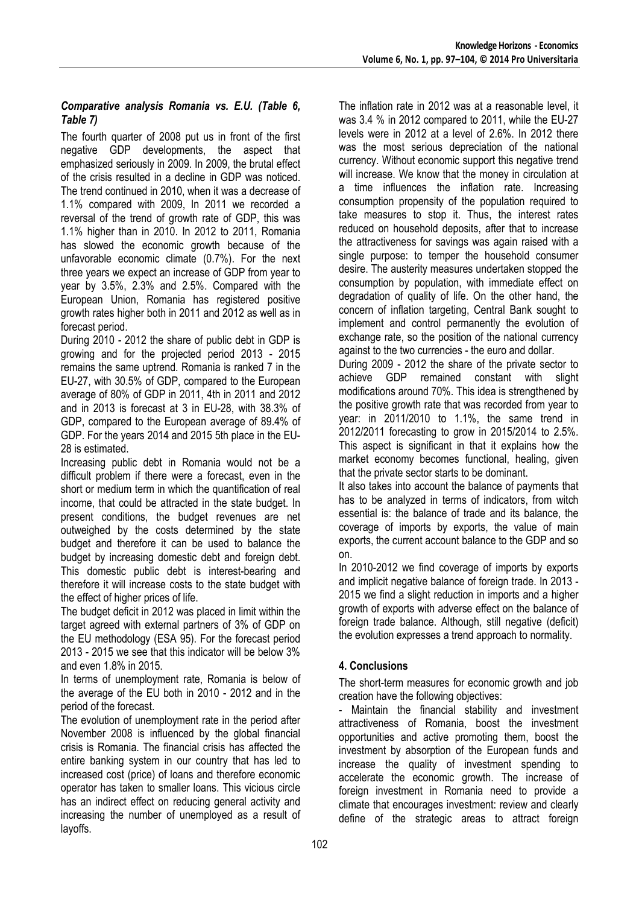## *Comparative analysis Romania vs. E.U. (Table 6, Table 7)*

The fourth quarter of 2008 put us in front of the first negative GDP developments, the aspect that emphasized seriously in 2009. In 2009, the brutal effect of the crisis resulted in a decline in GDP was noticed. The trend continued in 2010, when it was a decrease of 1.1% compared with 2009, In 2011 we recorded a reversal of the trend of growth rate of GDP, this was 1.1% higher than in 2010. In 2012 to 2011, Romania has slowed the economic growth because of the unfavorable economic climate (0.7%). For the next three years we expect an increase of GDP from year to year by 3.5%, 2.3% and 2.5%. Compared with the European Union, Romania has registered positive growth rates higher both in 2011 and 2012 as well as in forecast period.

During 2010 - 2012 the share of public debt in GDP is growing and for the projected period 2013 - 2015 remains the same uptrend. Romania is ranked 7 in the EU-27, with 30.5% of GDP, compared to the European average of 80% of GDP in 2011, 4th in 2011 and 2012 and in 2013 is forecast at 3 in EU-28, with 38.3% of GDP, compared to the European average of 89.4% of GDP. For the years 2014 and 2015 5th place in the EU-28 is estimated.

Increasing public debt in Romania would not be a difficult problem if there were a forecast, even in the short or medium term in which the quantification of real income, that could be attracted in the state budget. In present conditions, the budget revenues are net outweighed by the costs determined by the state budget and therefore it can be used to balance the budget by increasing domestic debt and foreign debt. This domestic public debt is interest-bearing and therefore it will increase costs to the state budget with the effect of higher prices of life.

The budget deficit in 2012 was placed in limit within the target agreed with external partners of 3% of GDP on the EU methodology (ESA 95). For the forecast period 2013 - 2015 we see that this indicator will be below 3% and even 1.8% in 2015.

In terms of unemployment rate, Romania is below of the average of the EU both in 2010 - 2012 and in the period of the forecast.

The evolution of unemployment rate in the period after November 2008 is influenced by the global financial crisis is Romania. The financial crisis has affected the entire banking system in our country that has led to increased cost (price) of loans and therefore economic operator has taken to smaller loans. This vicious circle has an indirect effect on reducing general activity and increasing the number of unemployed as a result of layoffs.

The inflation rate in 2012 was at a reasonable level, it was 3.4 % in 2012 compared to 2011, while the EU-27 levels were in 2012 at a level of 2.6%. In 2012 there was the most serious depreciation of the national currency. Without economic support this negative trend will increase. We know that the money in circulation at a time influences the inflation rate. Increasing consumption propensity of the population required to take measures to stop it. Thus, the interest rates reduced on household deposits, after that to increase the attractiveness for savings was again raised with a single purpose: to temper the household consumer desire. The austerity measures undertaken stopped the consumption by population, with immediate effect on degradation of quality of life. On the other hand, the concern of inflation targeting, Central Bank sought to implement and control permanently the evolution of exchange rate, so the position of the national currency against to the two currencies - the euro and dollar.

During 2009 - 2012 the share of the private sector to achieve GDP remained constant with slight modifications around 70%. This idea is strengthened by the positive growth rate that was recorded from year to year: in 2011/2010 to 1.1%, the same trend in 2012/2011 forecasting to grow in 2015/2014 to 2.5%. This aspect is significant in that it explains how the market economy becomes functional, healing, given that the private sector starts to be dominant.

It also takes into account the balance of payments that has to be analyzed in terms of indicators, from witch essential is: the balance of trade and its balance, the coverage of imports by exports, the value of main exports, the current account balance to the GDP and so on.

In 2010-2012 we find coverage of imports by exports and implicit negative balance of foreign trade. In 2013 - 2015 we find a slight reduction in imports and a higher growth of exports with adverse effect on the balance of foreign trade balance. Although, still negative (deficit) the evolution expresses a trend approach to normality.

## **4. Conclusions**

The short-term measures for economic growth and job creation have the following objectives:

Maintain the financial stability and investment attractiveness of Romania, boost the investment opportunities and active promoting them, boost the investment by absorption of the European funds and increase the quality of investment spending to accelerate the economic growth. The increase of foreign investment in Romania need to provide a climate that encourages investment: review and clearly define of the strategic areas to attract foreign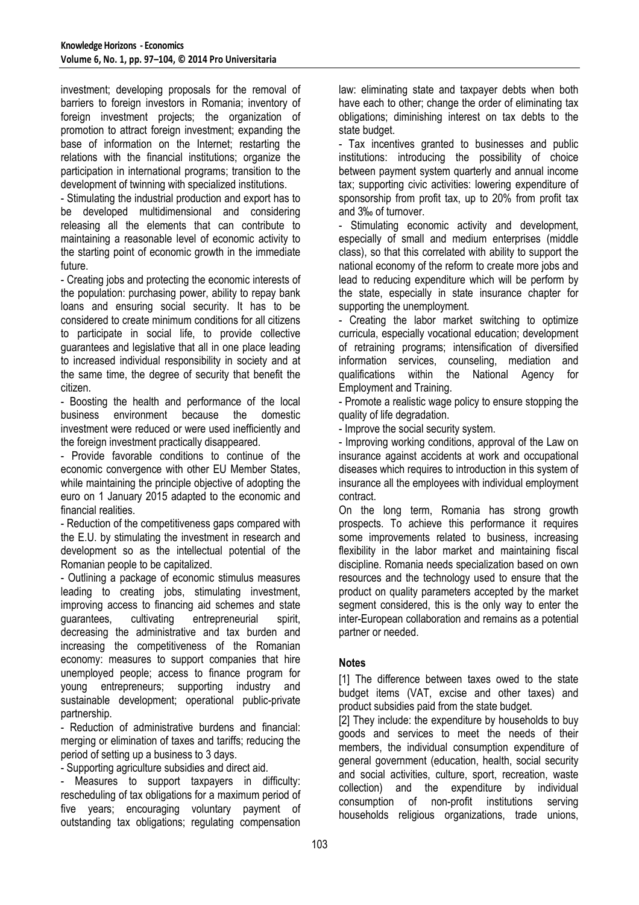investment; developing proposals for the removal of barriers to foreign investors in Romania; inventory of foreign investment projects; the organization of promotion to attract foreign investment; expanding the base of information on the Internet; restarting the relations with the financial institutions; organize the participation in international programs; transition to the development of twinning with specialized institutions.

- Stimulating the industrial production and export has to be developed multidimensional and considering releasing all the elements that can contribute to maintaining a reasonable level of economic activity to the starting point of economic growth in the immediate future.

- Creating jobs and protecting the economic interests of the population: purchasing power, ability to repay bank loans and ensuring social security. It has to be considered to create minimum conditions for all citizens to participate in social life, to provide collective guarantees and legislative that all in one place leading to increased individual responsibility in society and at the same time, the degree of security that benefit the citizen.

- Boosting the health and performance of the local business environment because the domestic investment were reduced or were used inefficiently and the foreign investment practically disappeared.

- Provide favorable conditions to continue of the economic convergence with other EU Member States, while maintaining the principle objective of adopting the euro on 1 January 2015 adapted to the economic and financial realities.

- Reduction of the competitiveness gaps compared with the E.U. by stimulating the investment in research and development so as the intellectual potential of the Romanian people to be capitalized.

- Outlining a package of economic stimulus measures leading to creating jobs, stimulating investment, improving access to financing aid schemes and state guarantees, cultivating entrepreneurial spirit, decreasing the administrative and tax burden and increasing the competitiveness of the Romanian economy: measures to support companies that hire unemployed people; access to finance program for young entrepreneurs; supporting industry and sustainable development; operational public-private partnership.

- Reduction of administrative burdens and financial: merging or elimination of taxes and tariffs; reducing the period of setting up a business to 3 days.

- Supporting agriculture subsidies and direct aid.

- Measures to support taxpayers in difficulty: rescheduling of tax obligations for a maximum period of five years; encouraging voluntary payment of outstanding tax obligations; regulating compensation law: eliminating state and taxpayer debts when both have each to other; change the order of eliminating tax obligations; diminishing interest on tax debts to the state budget.

- Tax incentives granted to businesses and public institutions: introducing the possibility of choice between payment system quarterly and annual income tax; supporting civic activities: lowering expenditure of sponsorship from profit tax, up to 20% from profit tax and 3‰ of turnover.

- Stimulating economic activity and development, especially of small and medium enterprises (middle class), so that this correlated with ability to support the national economy of the reform to create more jobs and lead to reducing expenditure which will be perform by the state, especially in state insurance chapter for supporting the unemployment.

- Creating the labor market switching to optimize curricula, especially vocational education; development of retraining programs; intensification of diversified information services, counseling, mediation and qualifications within the National Agency for Employment and Training.

- Promote a realistic wage policy to ensure stopping the quality of life degradation.

- Improve the social security system.

- Improving working conditions, approval of the Law on insurance against accidents at work and occupational diseases which requires to introduction in this system of insurance all the employees with individual employment contract.

On the long term, Romania has strong growth prospects. To achieve this performance it requires some improvements related to business, increasing flexibility in the labor market and maintaining fiscal discipline. Romania needs specialization based on own resources and the technology used to ensure that the product on quality parameters accepted by the market segment considered, this is the only way to enter the inter-European collaboration and remains as a potential partner or needed.

## **Notes**

[1] The difference between taxes owed to the state budget items (VAT, excise and other taxes) and product subsidies paid from the state budget.

[2] They include: the expenditure by households to buy goods and services to meet the needs of their members, the individual consumption expenditure of general government (education, health, social security and social activities, culture, sport, recreation, waste collection) and the expenditure by individual consumption of non-profit institutions serving households religious organizations, trade unions,